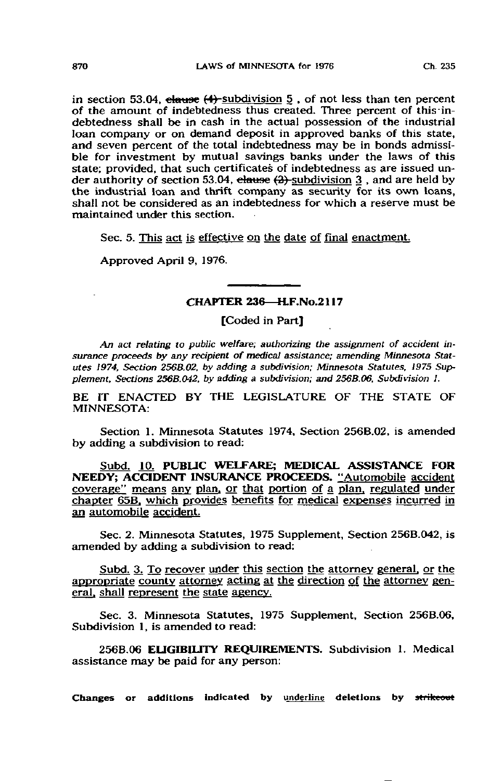in section 53.04, clause  $(4)$ -subdivision  $5$ , of not less than ten percent of the amount of indebtedness thus created. Three percent of this-indebtedness shall be in cash in the actual possession of the industrial loan company or on demand deposit in approved banks of this state, and seven percent of the total indebtedness may be in bonds admissible for investment by mutual savings banks under the laws of this state; provided, that such certificates of indebtedness as are issued under authority of section 53.04, clause  $(2)$ -subdivision 3, and are held by the industrial loan and thrift company as security for its own loans, shall not be considered as an indebtedness for which a reserve must be maintained under this section.

Sec. 5. This act is effective on the date of final enactment.

Approved April 9, 1976.

## CHAPTER 236—H.F.No.2117

[Coded in Part]

An act relating to public welfare; authorizing the assignment of accident insurance proceeds by any recipient of medical assistance; amending Minnesota Statutes 1974, Section 2568.02. by adding a subdivision; Minnesota Statutes, 1975 Supplement, Sections 256B.042. by adding a subdivision; and 256B.06, Subdivision I.

BE IT ENACTED BY THE LEGISLATURE OF THE STATE OF MINNESOTA:

Section 1. Minnesota Statutes 1974, Section 256B.02, is amended by adding a subdivision to read:

Subd. 10. PUBLIC WELFARE; MEDICAL ASSISTANCE FOR NEEDY; ACCIDENT INSURANCE PROCEEDS. "Automobile accident coverage" means any plan, or that portion of a plan, regulated under chapter 65B. which provides benefits for medical expenses incurred in an automobile accident.

Sec. 2. Minnesota Statutes, 1975 Supplement, Section 256B.O42, is amended by adding a subdivision to read:

Subd. 3. To recover under this section the attorney general, or the appropriate county attorney acting at the direction of the attorney general, shall represent the state agency.

Sec. 3. Minnesota Statutes, 1975 Supplement, Section 256B.06, Subdivision 1, is amended to read:

256B.06 ELIGIBILITY REQUIREMENTS. Subdivision 1. Medical assistance may be paid for any person:

Changes or additions indicated by underline deletions by strikeout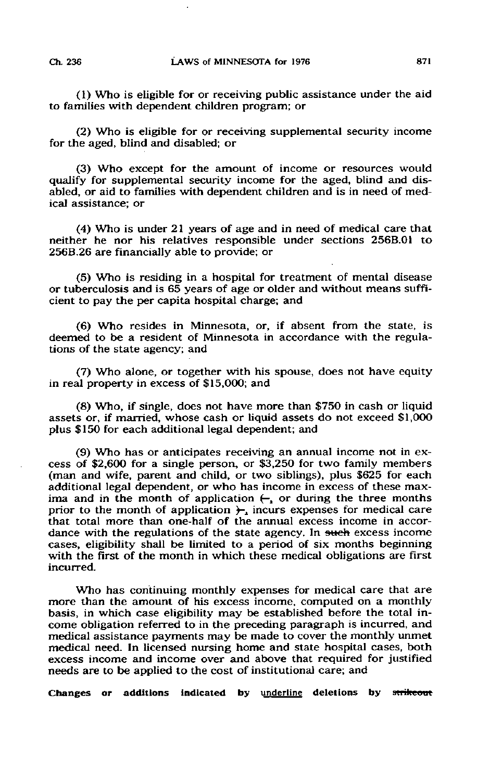(1) Who is eligible for or receiving public assistance under the aid to families with dependent children program; or

(2) Who is eligible for or receiving supplemental security income for the aged, blind and disabled; or

(3) Who except for the amount of income or resources would qualify for supplemental security income for the aged, blind and disabled, or aid to families with dependent children and is in need of medical assistance; or

(4) Who is under 21 years of age and in need of medical care that neither he nor his relatives responsible under sections 256B.01 to 256B.26 are financially able to provide; or

(5) Who is residing in a hospital for treatment of mental disease or tuberculosis and is 65 years of age or older and without means sufficient to pay the per capita hospital charge; and

(6) Who resides in Minnesota, or, if absent from the state, is deemed to be a resident of Minnesota in accordance with the regulations of the state agency; and

(7) Who alone, or together with his spouse, does not have equity in real property in excess of \$15,000; and

(8) Who, if single, does not have more than \$750 in cash or liquid assets or, if married, whose cash or liquid assets do not exceed \$1,OOO plus \$150 for each additional legal dependent; and

(9) Who has or anticipates receiving an annual income not in excess of \$2,600 for a single person, or \$3,250 for two family members (man and wife, parent and child, or two siblings), plus \$625 for each additional legal dependent, or who has income in excess of these maxima and in the month of application  $\leftarrow$ , or during the three months prior to the month of application  $\overline{)}_1$  incurs expenses for medical care that total more than one-half of the annual excess income in accordance with the regulations of the state agency. In such excess income cases, eligibility shall be limited to a period of six months beginning with the first of the month in which these medical obligations are first incurred.

Who has continuing monthly expenses for medical care that are more than the amount of his excess income, computed on a monthly basis, in which case eligibility may be established before the total income obligation referred to in the preceding paragraph is incurred, and medical assistance payments may be made to cover the monthly unmet medical need. In licensed nursing home and state hospital cases, both excess income and income over and above that required for justified needs are to be applied to the cost of institutional care; and

Changes or additions indicated by underline deletions by strikeout